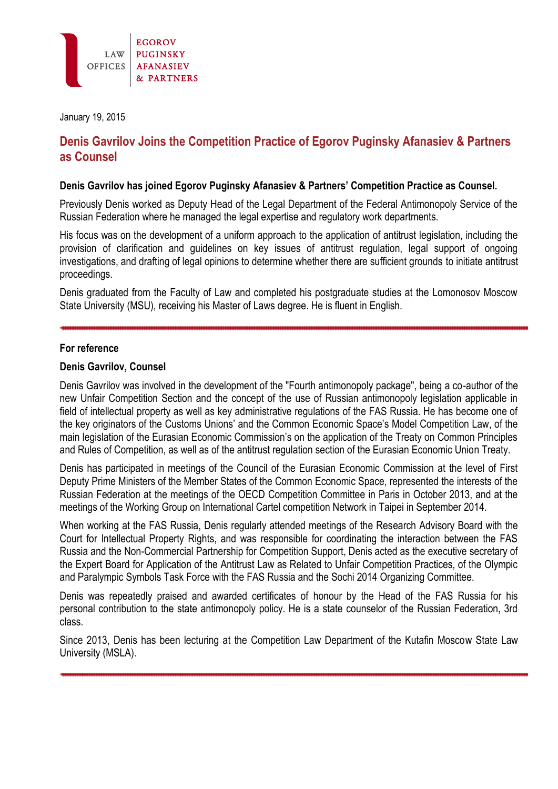

January 19, 2015

# **Denis Gavrilov Joins the Competition Practice of Egorov Puginsky Afanasiev & Partners as Counsel**

#### **Denis Gavrilov has joined Egorov Puginsky Afanasiev & Partners' Competition Practice as Counsel.**

Previously Denis worked as Deputy Head of the Legal Department of the Federal Antimonopoly Service of the Russian Federation where he managed the legal expertise and regulatory work departments.

His focus was on the development of a uniform approach to the application of antitrust legislation, including the provision of clarification and guidelines on key issues of antitrust regulation, legal support of ongoing investigations, and drafting of legal opinions to determine whether there are sufficient grounds to initiate antitrust proceedings.

Denis graduated from the Faculty of Law and completed his postgraduate studies at the Lomonosov Moscow State University (MSU), receiving his Master of Laws degree. He is fluent in English.

# **For reference**

# **Denis Gavrilov, Counsel**

Denis Gavrilov was involved in the development of the "Fourth antimonopoly package", being a co-author of the new Unfair Competition Section and the concept of the use of Russian antimonopoly legislation applicable in field of intellectual property as well as key administrative regulations of the FAS Russia. He has become one of the key originators of the Customs Unions' and the Common Economic Space's Model Competition Law, of the main legislation of the Eurasian Economic Commission's on the application of the Treaty on Common Principles and Rules of Competition, as well as of the antitrust regulation section of the Eurasian Economic Union Treaty.

Denis has participated in meetings of the Council of the Eurasian Economic Commission at the level of First Deputy Prime Ministers of the Member States of the Common Economic Space, represented the interests of the Russian Federation at the meetings of the OECD Competition Committee in Paris in October 2013, and at the meetings of the Working Group on International Cartel competition Network in Taipei in September 2014.

When working at the FAS Russia, Denis regularly attended meetings of the Research Advisory Board with the Court for Intellectual Property Rights, and was responsible for coordinating the interaction between the FAS Russia and the Non-Commercial Partnership for Competition Support, Denis acted as the executive secretary of the Expert Board for Application of the Antitrust Law as Related to Unfair Competition Practices, of the Olympic and Paralympic Symbols Task Force with the FAS Russia and the Sochi 2014 Organizing Committee.

Denis was repeatedly praised and awarded certificates of honour by the Head of the FAS Russia for his personal contribution to the state antimonopoly policy. He is a state counselor of the Russian Federation, 3rd class.

Since 2013, Denis has been lecturing at the Competition Law Department of the Kutafin Moscow State Law University (MSLA).